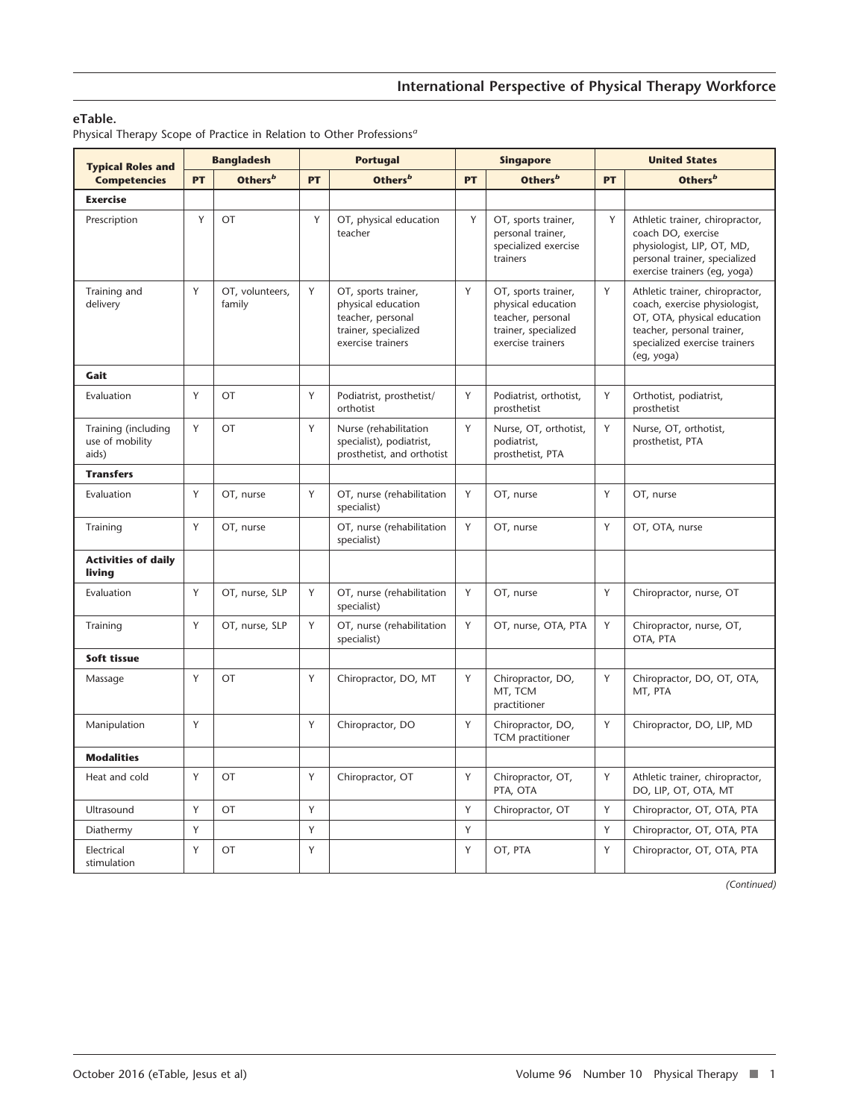# **eTable.**

Physical Therapy Scope of Practice in Relation to Other Professions*<sup>a</sup>*

| <b>Typical Roles and</b><br><b>Competencies</b> | <b>Bangladesh</b> |                           | <b>Portugal</b> |                                                                                                             | <b>Singapore</b> |                                                                                                             | <b>United States</b> |                                                                                                                                                                              |
|-------------------------------------------------|-------------------|---------------------------|-----------------|-------------------------------------------------------------------------------------------------------------|------------------|-------------------------------------------------------------------------------------------------------------|----------------------|------------------------------------------------------------------------------------------------------------------------------------------------------------------------------|
|                                                 | <b>PT</b>         | Others <sup>b</sup>       | PT              | Others <sup>b</sup>                                                                                         | PT               | Others <sup>b</sup>                                                                                         | PT                   | Others <sup>b</sup>                                                                                                                                                          |
| <b>Exercise</b>                                 |                   |                           |                 |                                                                                                             |                  |                                                                                                             |                      |                                                                                                                                                                              |
| Prescription                                    | Y                 | OT                        | Y               | OT, physical education<br>teacher                                                                           | Y                | OT, sports trainer,<br>personal trainer,<br>specialized exercise<br>trainers                                | Y                    | Athletic trainer, chiropractor,<br>coach DO, exercise<br>physiologist, LIP, OT, MD,<br>personal trainer, specialized<br>exercise trainers (eg, yoga)                         |
| Training and<br>delivery                        | Y                 | OT, volunteers,<br>family | Y               | OT, sports trainer,<br>physical education<br>teacher, personal<br>trainer, specialized<br>exercise trainers | Y                | OT, sports trainer,<br>physical education<br>teacher, personal<br>trainer, specialized<br>exercise trainers | Y                    | Athletic trainer, chiropractor,<br>coach, exercise physiologist,<br>OT, OTA, physical education<br>teacher, personal trainer,<br>specialized exercise trainers<br>(eg, yoga) |
| Gait                                            |                   |                           |                 |                                                                                                             |                  |                                                                                                             |                      |                                                                                                                                                                              |
| Evaluation                                      | Y                 | OT                        | Y               | Podiatrist, prosthetist/<br>orthotist                                                                       | Y                | Podiatrist, orthotist,<br>prosthetist                                                                       | Y                    | Orthotist, podiatrist,<br>prosthetist                                                                                                                                        |
| Training (including<br>use of mobility<br>aids) | Y                 | OT                        | Y               | Nurse (rehabilitation<br>specialist), podiatrist,<br>prosthetist, and orthotist                             | Y                | Nurse, OT, orthotist,<br>podiatrist,<br>prosthetist, PTA                                                    | Y                    | Nurse, OT, orthotist,<br>prosthetist, PTA                                                                                                                                    |
| <b>Transfers</b>                                |                   |                           |                 |                                                                                                             |                  |                                                                                                             |                      |                                                                                                                                                                              |
| Evaluation                                      | Y                 | OT, nurse                 | Y               | OT, nurse (rehabilitation<br>specialist)                                                                    | Y                | OT, nurse                                                                                                   | Y                    | OT, nurse                                                                                                                                                                    |
| Training                                        | Y                 | OT, nurse                 |                 | OT, nurse (rehabilitation<br>specialist)                                                                    | Y                | OT, nurse                                                                                                   | Y                    | OT, OTA, nurse                                                                                                                                                               |
| <b>Activities of daily</b><br>living            |                   |                           |                 |                                                                                                             |                  |                                                                                                             |                      |                                                                                                                                                                              |
| Evaluation                                      | Y                 | OT, nurse, SLP            | Y               | OT, nurse (rehabilitation<br>specialist)                                                                    | Y                | OT, nurse                                                                                                   | Y                    | Chiropractor, nurse, OT                                                                                                                                                      |
| Training                                        | Y                 | OT, nurse, SLP            | Y               | OT, nurse (rehabilitation<br>specialist)                                                                    | Y                | OT, nurse, OTA, PTA                                                                                         | Y                    | Chiropractor, nurse, OT,<br>OTA, PTA                                                                                                                                         |
| Soft tissue                                     |                   |                           |                 |                                                                                                             |                  |                                                                                                             |                      |                                                                                                                                                                              |
| Massage                                         | Y                 | OT                        | Y               | Chiropractor, DO, MT                                                                                        | Y                | Chiropractor, DO,<br>MT, TCM<br>practitioner                                                                | Y                    | Chiropractor, DO, OT, OTA,<br>MT, PTA                                                                                                                                        |
| Manipulation                                    | Y                 |                           | Υ               | Chiropractor, DO                                                                                            | Y                | Chiropractor, DO,<br>TCM practitioner                                                                       | Y                    | Chiropractor, DO, LIP, MD                                                                                                                                                    |
| <b>Modalities</b>                               |                   |                           |                 |                                                                                                             |                  |                                                                                                             |                      |                                                                                                                                                                              |
| Heat and cold                                   | Y                 | OT                        | Y               | Chiropractor, OT                                                                                            | Y                | Chiropractor, OT,<br>PTA, OTA                                                                               | Y                    | Athletic trainer, chiropractor,<br>DO, LIP, OT, OTA, MT                                                                                                                      |
| Ultrasound                                      | Υ                 | OT                        | Y               |                                                                                                             | Υ                | Chiropractor, OT                                                                                            | Y                    | Chiropractor, OT, OTA, PTA                                                                                                                                                   |
| Diathermy                                       | Y                 |                           | Y               |                                                                                                             | Y                |                                                                                                             | Y                    | Chiropractor, OT, OTA, PTA                                                                                                                                                   |
| Electrical<br>stimulation                       | Y                 | OT                        | Y               |                                                                                                             | Y                | OT, PTA                                                                                                     | Y                    | Chiropractor, OT, OTA, PTA                                                                                                                                                   |

*(Continued)*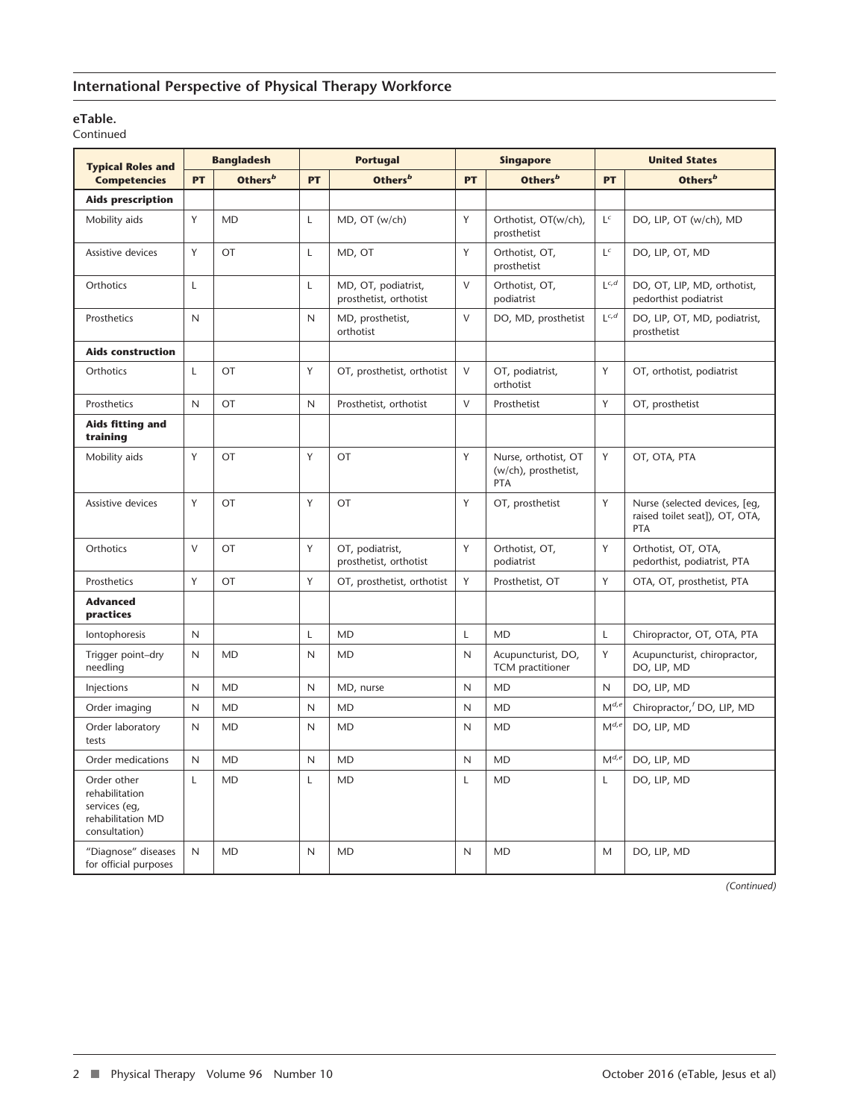# **International Perspective of Physical Therapy Workforce**

### **eTable.**

Continued

| <b>Typical Roles and</b><br><b>Competencies</b>                                      | <b>Bangladesh</b> |                     | <b>Portugal</b> |                                               | <b>Singapore</b> |                                                     | <b>United States</b> |                                                                        |
|--------------------------------------------------------------------------------------|-------------------|---------------------|-----------------|-----------------------------------------------|------------------|-----------------------------------------------------|----------------------|------------------------------------------------------------------------|
|                                                                                      | <b>PT</b>         | Others <sup>b</sup> | PT              | Others <sup>b</sup>                           | PT               | Others <sup>b</sup>                                 | PT                   | Others <sup>b</sup>                                                    |
| <b>Aids prescription</b>                                                             |                   |                     |                 |                                               |                  |                                                     |                      |                                                                        |
| Mobility aids                                                                        | Y                 | <b>MD</b>           | $\mathsf{L}$    | MD, OT (w/ch)                                 | Y                | Orthotist, OT(w/ch),<br>prosthetist                 | $L^c$                | DO, LIP, OT (w/ch), MD                                                 |
| Assistive devices                                                                    | Y                 | <b>OT</b>           | L               | MD, OT                                        | Y                | Orthotist, OT,<br>prosthetist                       | $L^c$                | DO, LIP, OT, MD                                                        |
| Orthotics                                                                            | L                 |                     | L               | MD, OT, podiatrist,<br>prosthetist, orthotist | $\vee$           | Orthotist, OT,<br>podiatrist                        | $L^{c,d}$            | DO, OT, LIP, MD, orthotist,<br>pedorthist podiatrist                   |
| Prosthetics                                                                          | N                 |                     | $\mathsf{N}$    | MD, prosthetist,<br>orthotist                 | V                | DO, MD, prosthetist                                 | $L^{c,d}$            | DO, LIP, OT, MD, podiatrist,<br>prosthetist                            |
| <b>Aids construction</b>                                                             |                   |                     |                 |                                               |                  |                                                     |                      |                                                                        |
| Orthotics                                                                            | L                 | OT                  | Y               | OT, prosthetist, orthotist                    | $\vee$           | OT, podiatrist,<br>orthotist                        | Y                    | OT, orthotist, podiatrist                                              |
| Prosthetics                                                                          | N                 | OT                  | $\mathsf{N}$    | Prosthetist, orthotist                        | V                | Prosthetist                                         | Y                    | OT, prosthetist                                                        |
| Aids fitting and<br>training                                                         |                   |                     |                 |                                               |                  |                                                     |                      |                                                                        |
| Mobility aids                                                                        | Y                 | OT                  | Y               | OT                                            | Y                | Nurse, orthotist, OT<br>(w/ch), prosthetist,<br>PTA | Υ                    | OT, OTA, PTA                                                           |
| Assistive devices                                                                    | Y                 | OT                  | Y               | OT                                            | Y                | OT, prosthetist                                     | Y                    | Nurse (selected devices, [eq,<br>raised toilet seat]), OT, OTA,<br>PTA |
| Orthotics                                                                            | $\vee$            | <b>OT</b>           | Y               | OT, podiatrist,<br>prosthetist, orthotist     | Y                | Orthotist, OT,<br>podiatrist                        | Y                    | Orthotist, OT, OTA,<br>pedorthist, podiatrist, PTA                     |
| Prosthetics                                                                          | Y                 | OT                  | Y               | OT, prosthetist, orthotist                    | Y                | Prosthetist, OT                                     | Y                    | OTA, OT, prosthetist, PTA                                              |
| <b>Advanced</b><br>practices                                                         |                   |                     |                 |                                               |                  |                                                     |                      |                                                                        |
| Iontophoresis                                                                        | N                 |                     | L               | <b>MD</b>                                     | Г                | <b>MD</b>                                           | Г                    | Chiropractor, OT, OTA, PTA                                             |
| Trigger point-dry<br>needling                                                        | N                 | <b>MD</b>           | $\mathsf{N}$    | <b>MD</b>                                     | N                | Acupuncturist, DO,<br>TCM practitioner              | Y                    | Acupuncturist, chiropractor,<br>DO, LIP, MD                            |
| Injections                                                                           | N                 | <b>MD</b>           | $\mathsf{N}$    | MD, nurse                                     | N                | <b>MD</b>                                           | N                    | DO, LIP, MD                                                            |
| Order imaging                                                                        | N                 | <b>MD</b>           | N               | <b>MD</b>                                     | Ν                | <b>MD</b>                                           | $M^{d,e}$            | Chiropractor, <sup>f</sup> DO, LIP, MD                                 |
| Order laboratory<br>tests                                                            | N                 | <b>MD</b>           | N               | <b>MD</b>                                     | N                | <b>MD</b>                                           | $M^{d,e}$            | DO, LIP, MD                                                            |
| Order medications                                                                    | N                 | <b>MD</b>           | $\mathsf{N}$    | <b>MD</b>                                     | N                | <b>MD</b>                                           | $M^{d,e}$            | DO, LIP, MD                                                            |
| Order other<br>rehabilitation<br>services (eq,<br>rehabilitation MD<br>consultation) | L                 | <b>MD</b>           | $\mathsf{L}$    | <b>MD</b>                                     | L                | <b>MD</b>                                           | L                    | DO, LIP, MD                                                            |
| "Diagnose" diseases<br>for official purposes                                         | N                 | <b>MD</b>           | N               | <b>MD</b>                                     | N                | <b>MD</b>                                           | M                    | DO, LIP, MD                                                            |

*(Continued)*